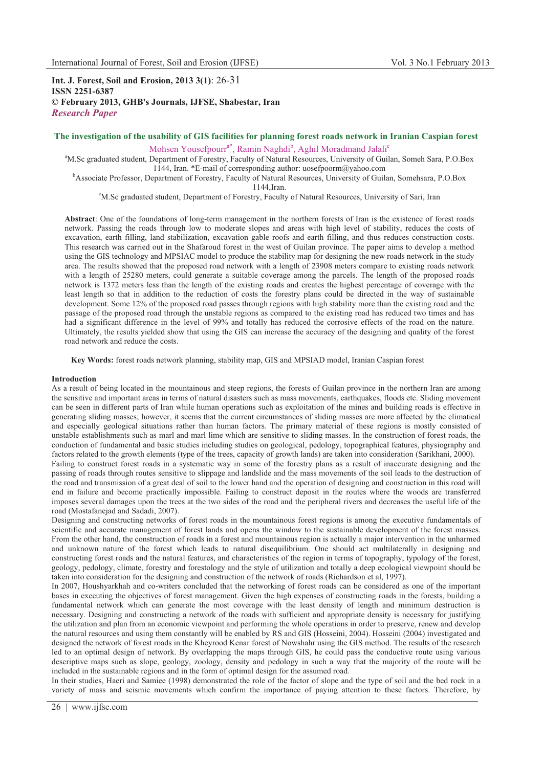# **Int. J. Forest, Soil and Erosion, 2013 3(1)**: 26-31 **ISSN 2251-6387 © February 2013, GHB's Journals, IJFSE, Shabestar, Iran** *Research Paper*

# **The investigation of the usability of GIS facilities for planning forest roads network in Iranian Caspian forest**

Mohsen Yousefpourr<sup>a\*</sup>, Ramin Naghdi<sup>b</sup>, Aghil Moradmand Jalali<sup>c</sup>

<sup>a</sup>M.Sc graduated student, Department of Forestry, Faculty of Natural Resources, University of Guilan, Someh Sara, P.O.Box 1144, Iran. \*E-mail of corresponding author: uosefpoorm@yahoo.com<br><sup>b</sup>Associate Professor, Department of Forestry, Faculty of Natural Resources, University of Guilan, Somehsara, P.O.Box

1144,Iran. c M.Sc graduated student, Department of Forestry, Faculty of Natural Resources, University of Sari, Iran

**Abstract**: One of the foundations of long-term management in the northern forests of Iran is the existence of forest roads network. Passing the roads through low to moderate slopes and areas with high level of stability, reduces the costs of excavation, earth filling, land stabilization, excavation gable roofs and earth filling, and thus reduces construction costs. This research was carried out in the Shafaroud forest in the west of Guilan province. The paper aims to develop a method using the GIS technology and MPSIAC model to produce the stability map for designing the new roads network in the study area. The results showed that the proposed road network with a length of 23908 meters compare to existing roads network with a length of 25280 meters, could generate a suitable coverage among the parcels. The length of the proposed roads network is 1372 meters less than the length of the existing roads and creates the highest percentage of coverage with the least length so that in addition to the reduction of costs the forestry plans could be directed in the way of sustainable development. Some 12% of the proposed road passes through regions with high stability more than the existing road and the passage of the proposed road through the unstable regions as compared to the existing road has reduced two times and has had a significant difference in the level of 99% and totally has reduced the corrosive effects of the road on the nature. Ultimately, the results yielded show that using the GIS can increase the accuracy of the designing and quality of the forest road network and reduce the costs.

**Key Words:** forest roads network planning, stability map, GIS and MPSIAD model, Iranian Caspian forest

#### **Introduction**

As a result of being located in the mountainous and steep regions, the forests of Guilan province in the northern Iran are among the sensitive and important areas in terms of natural disasters such as mass movements, earthquakes, floods etc. Sliding movement can be seen in different parts of Iran while human operations such as exploitation of the mines and building roads is effective in generating sliding masses; however, it seems that the current circumstances of sliding masses are more affected by the climatical and especially geological situations rather than human factors. The primary material of these regions is mostly consisted of unstable establishments such as marl and marl lime which are sensitive to sliding masses. In the construction of forest roads, the conduction of fundamental and basic studies including studies on geological, pedology, topographical features, physiography and factors related to the growth elements (type of the trees, capacity of growth lands) are taken into consideration (Sarikhani, 2000).

Failing to construct forest roads in a systematic way in some of the forestry plans as a result of inaccurate designing and the passing of roads through routes sensitive to slippage and landslide and the mass movements of the soil leads to the destruction of the road and transmission of a great deal of soil to the lower hand and the operation of designing and construction in this road will end in failure and become practically impossible. Failing to construct deposit in the routes where the woods are transferred imposes several damages upon the trees at the two sides of the road and the peripheral rivers and decreases the useful life of the road (Mostafanejad and Sadadi, 2007).

Designing and constructing networks of forest roads in the mountainous forest regions is among the executive fundamentals of scientific and accurate management of forest lands and opens the window to the sustainable development of the forest masses. From the other hand, the construction of roads in a forest and mountainous region is actually a major intervention in the unharmed and unknown nature of the forest which leads to natural disequilibrium. One should act multilaterally in designing and constructing forest roads and the natural features, and characteristics of the region in terms of topography, typology of the forest, geology, pedology, climate, forestry and forestology and the style of utilization and totally a deep ecological viewpoint should be taken into consideration for the designing and construction of the network of roads (Richardson et al, 1997).

In 2007, Houshyarkhah and co-writers concluded that the networking of forest roads can be considered as one of the important bases in executing the objectives of forest management. Given the high expenses of constructing roads in the forests, building a fundamental network which can generate the most coverage with the least density of length and minimum destruction is necessary. Designing and constructing a network of the roads with sufficient and appropriate density is necessary for justifying the utilization and plan from an economic viewpoint and performing the whole operations in order to preserve, renew and develop the natural resources and using them constantly will be enabled by RS and GIS (Hosseini, 2004). Hosseini (2004) investigated and designed the network of forest roads in the Kheyrood Kenar forest of Nowshahr using the GIS method. The results of the research led to an optimal design of network. By overlapping the maps through GIS, he could pass the conductive route using various descriptive maps such as slope, geology, zoology, density and pedology in such a way that the majority of the route will be included in the sustainable regions and in the form of optimal design for the assumed road.

In their studies, Haeri and Samiee (1998) demonstrated the role of the factor of slope and the type of soil and the bed rock in a variety of mass and seismic movements which confirm the importance of paying attention to these factors. Therefore, by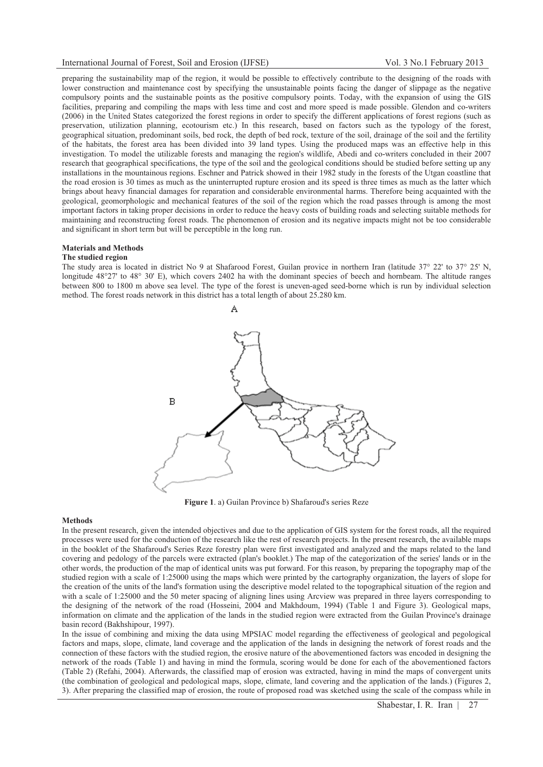### International Journal of Forest, Soil and Erosion (IJFSE) Vol. 3 No.1 February 2013

preparing the sustainability map of the region, it would be possible to effectively contribute to the designing of the roads with lower construction and maintenance cost by specifying the unsustainable points facing the danger of slippage as the negative compulsory points and the sustainable points as the positive compulsory points. Today, with the expansion of using the GIS facilities, preparing and compiling the maps with less time and cost and more speed is made possible. Glendon and co-writers (2006) in the United States categorized the forest regions in order to specify the different applications of forest regions (such as preservation, utilization planning, ecotourism etc.) In this research, based on factors such as the typology of the forest, geographical situation, predominant soils, bed rock, the depth of bed rock, texture of the soil, drainage of the soil and the fertility of the habitats, the forest area has been divided into 39 land types. Using the produced maps was an effective help in this investigation. To model the utilizable forests and managing the region's wildlife, Abedi and co-writers concluded in their 2007 research that geographical specifications, the type of the soil and the geological conditions should be studied before setting up any installations in the mountainous regions. Eschner and Patrick showed in their 1982 study in the forests of the Utgan coastline that the road erosion is 30 times as much as the uninterrupted rupture erosion and its speed is three times as much as the latter which brings about heavy financial damages for reparation and considerable environmental harms. Therefore being acquainted with the geological, geomorphologic and mechanical features of the soil of the region which the road passes through is among the most important factors in taking proper decisions in order to reduce the heavy costs of building roads and selecting suitable methods for maintaining and reconstructing forest roads. The phenomenon of erosion and its negative impacts might not be too considerable and significant in short term but will be perceptible in the long run.

## **Materials and Methods**

### **The studied region**

The study area is located in district No 9 at Shafarood Forest, Guilan provice in northern Iran (latitude 37° 22' to 37° 25' N, longitude 48°27' to 48° 30' E), which covers 2402 ha with the dominant species of beech and hornbeam. The altitude ranges between 800 to 1800 m above sea level. The type of the forest is uneven-aged seed-borne which is run by individual selection method. The forest roads network in this district has a total length of about 25.280 km.

Δ



**Figure 1**. a) Guilan Province b) Shafaroud's series Reze

#### **Methods**

In the present research, given the intended objectives and due to the application of GIS system for the forest roads, all the required processes were used for the conduction of the research like the rest of research projects. In the present research, the available maps in the booklet of the Shafaroud's Series Reze forestry plan were first investigated and analyzed and the maps related to the land covering and pedology of the parcels were extracted (plan's booklet.) The map of the categorization of the series' lands or in the other words, the production of the map of identical units was put forward. For this reason, by preparing the topography map of the studied region with a scale of 1:25000 using the maps which were printed by the cartography organization, the layers of slope for the creation of the units of the land's formation using the descriptive model related to the topographical situation of the region and with a scale of 1:25000 and the 50 meter spacing of aligning lines using Arcview was prepared in three layers corresponding to the designing of the network of the road (Hosseini, 2004 and Makhdoum, 1994) (Table 1 and Figure 3). Geological maps, information on climate and the application of the lands in the studied region were extracted from the Guilan Province's drainage basin record (Bakhshipour, 1997).

In the issue of combining and mixing the data using MPSIAC model regarding the effectiveness of geological and pegological factors and maps, slope, climate, land coverage and the application of the lands in designing the network of forest roads and the connection of these factors with the studied region, the erosive nature of the abovementioned factors was encoded in designing the network of the roads (Table 1) and having in mind the formula, scoring would be done for each of the abovementioned factors (Table 2) (Refahi, 2004). Afterwards, the classified map of erosion was extracted, having in mind the maps of convergent units (the combination of geological and pedological maps, slope, climate, land covering and the application of the lands.) (Figures 2, 3). After preparing the classified map of erosion, the route of proposed road was sketched using the scale of the compass while in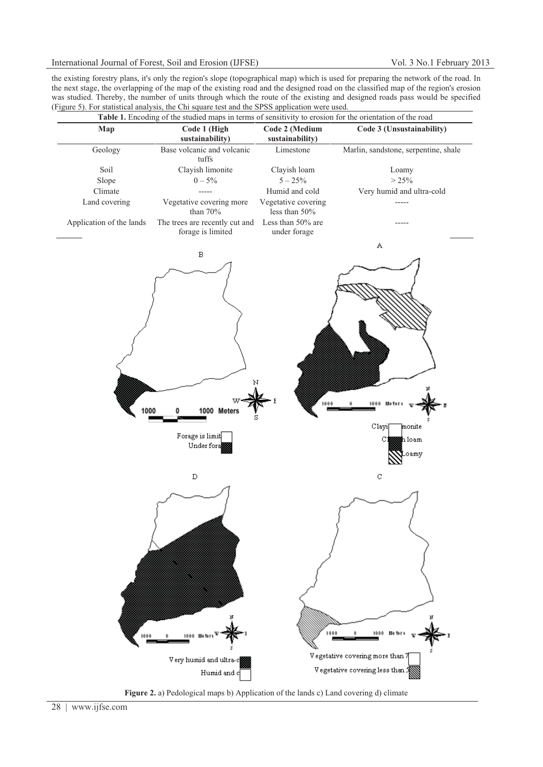## International Journal of Forest, Soil and Erosion (IJFSE) Vol. 3 No.1 February 2013

the existing forestry plans, it's only the region's slope (topographical map) which is used for preparing the network of the road. In the next stage, the overlapping of the map of the existing road and the designed road on the classified map of the region's erosion was studied. Thereby, the number of units through which the route of the existing and designed roads pass would be specified (Figure 5). For statistical analysis, the Chi square test and the SPSS application were used.



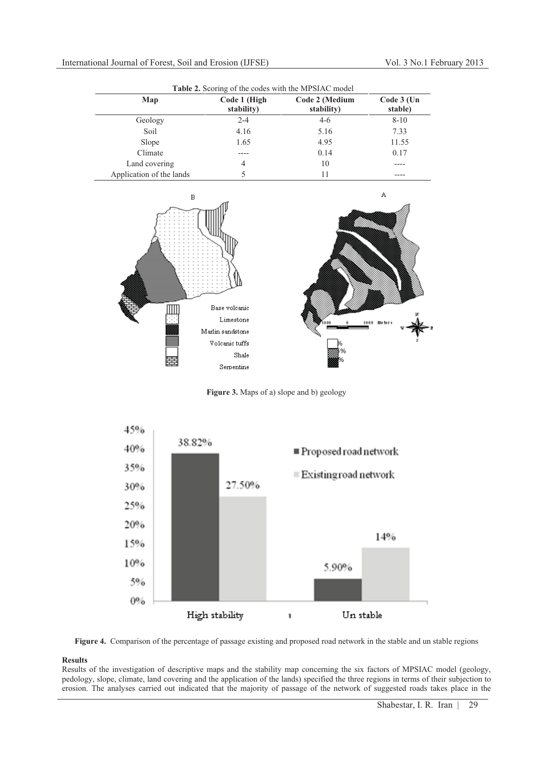| Table 2. Scoring of the codes with the MPSIAC model |                            |                              |                       |  |  |
|-----------------------------------------------------|----------------------------|------------------------------|-----------------------|--|--|
| Map                                                 | Code 1 (High<br>stability) | Code 2 (Medium<br>stability) | Code 3 (Un<br>stable) |  |  |
| Geology                                             | $2 - 4$                    | $4-6$                        | $8 - 10$              |  |  |
| Soil                                                | 4.16                       | 5.16                         | 7.33                  |  |  |
| Slope                                               | 1.65                       | 4.95                         | 11.55                 |  |  |
| Climate                                             |                            | 0.14                         | 0.17                  |  |  |
| Land covering                                       | 4                          | 10                           |                       |  |  |
| Application of the lands                            |                            | 11                           |                       |  |  |



**Figure 3.** Maps of a) slope and b) geology





# **Results**

Results of the investigation of descriptive maps and the stability map concerning the six factors of MPSIAC model (geology, pedology, slope, climate, land covering and the application of the lands) specified the three regions in terms of their subjection to erosion. The analyses carried out indicated that the majority of passage of the network of suggested roads takes place in the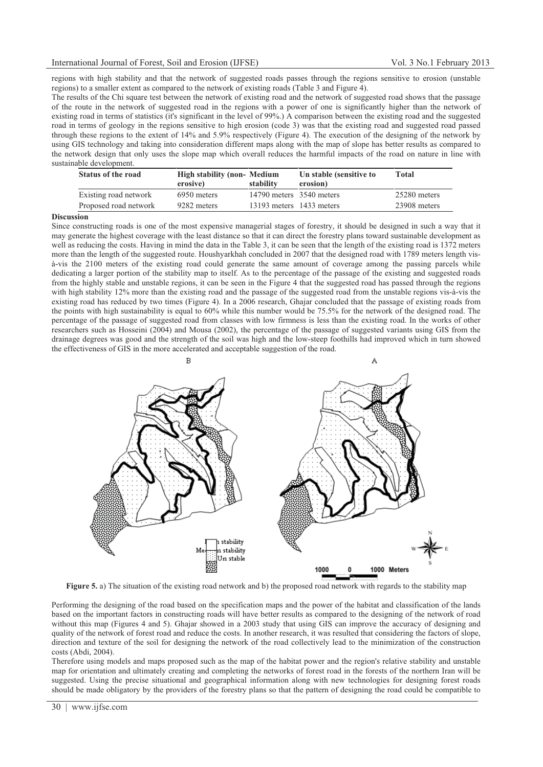## International Journal of Forest, Soil and Erosion (IJFSE) Vol. 3 No.1 February 2013

regions with high stability and that the network of suggested roads passes through the regions sensitive to erosion (unstable regions) to a smaller extent as compared to the network of existing roads (Table 3 and Figure 4).

The results of the Chi square test between the network of existing road and the network of suggested road shows that the passage of the route in the network of suggested road in the regions with a power of one is significantly higher than the network of existing road in terms of statistics (it's significant in the level of 99%.) A comparison between the existing road and the suggested road in terms of geology in the regions sensitive to high erosion (code 3) was that the existing road and suggested road passed through these regions to the extent of 14% and 5.9% respectively (Figure 4). The execution of the designing of the network by using GIS technology and taking into consideration different maps along with the map of slope has better results as compared to the network design that only uses the slope map which overall reduces the harmful impacts of the road on nature in line with sustainable development.

| <b>Status of the road</b> | <b>High stability (non-Medium</b><br>erosive) | stability                | Un stable (sensitive to<br>erosion) | Total        |
|---------------------------|-----------------------------------------------|--------------------------|-------------------------------------|--------------|
| Existing road network     | 6950 meters                                   | 14790 meters 3540 meters |                                     | 25280 meters |
| Proposed road network     | 9282 meters                                   | 13193 meters 1433 meters |                                     | 23908 meters |

### **Discussion**

Since constructing roads is one of the most expensive managerial stages of forestry, it should be designed in such a way that it may generate the highest coverage with the least distance so that it can direct the forestry plans toward sustainable development as well as reducing the costs. Having in mind the data in the Table 3, it can be seen that the length of the existing road is 1372 meters more than the length of the suggested route. Houshyarkhah concluded in 2007 that the designed road with 1789 meters length visà-vis the 2100 meters of the existing road could generate the same amount of coverage among the passing parcels while dedicating a larger portion of the stability map to itself. As to the percentage of the passage of the existing and suggested roads from the highly stable and unstable regions, it can be seen in the Figure 4 that the suggested road has passed through the regions with high stability 12% more than the existing road and the passage of the suggested road from the unstable regions vis-à-vis the existing road has reduced by two times (Figure 4). In a 2006 research, Ghajar concluded that the passage of existing roads from the points with high sustainability is equal to 60% while this number would be 75.5% for the network of the designed road. The percentage of the passage of suggested road from classes with low firmness is less than the existing road. In the works of other researchers such as Hosseini (2004) and Mousa (2002), the percentage of the passage of suggested variants using GIS from the drainage degrees was good and the strength of the soil was high and the low-steep foothills had improved which in turn showed the effectiveness of GIS in the more accelerated and acceptable suggestion of the road.



**Figure 5.** a) The situation of the existing road network and b) the proposed road network with regards to the stability map

Performing the designing of the road based on the specification maps and the power of the habitat and classification of the lands based on the important factors in constructing roads will have better results as compared to the designing of the network of road without this map (Figures 4 and 5). Ghajar showed in a 2003 study that using GIS can improve the accuracy of designing and quality of the network of forest road and reduce the costs. In another research, it was resulted that considering the factors of slope, direction and texture of the soil for designing the network of the road collectively lead to the minimization of the construction costs (Abdi, 2004).

Therefore using models and maps proposed such as the map of the habitat power and the region's relative stability and unstable map for orientation and ultimately creating and completing the networks of forest road in the forests of the northern Iran will be suggested. Using the precise situational and geographical information along with new technologies for designing forest roads should be made obligatory by the providers of the forestry plans so that the pattern of designing the road could be compatible to